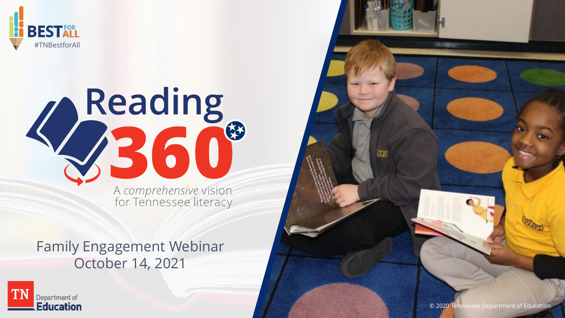



## Family Engagement Webinar October 14, 2021





甄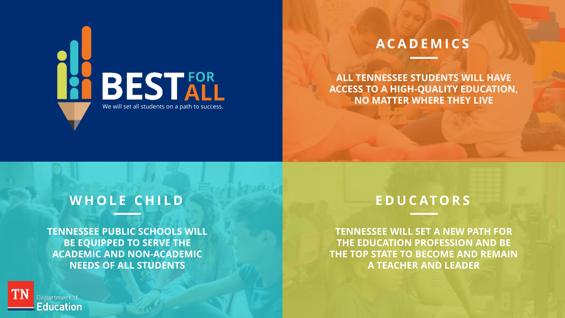

## **A C A D E M I C S**

**ALL TENNESSEE STUDENTS WILL HAVE ACCESS TO A HIGH-QUALITY EDUCATION, NO MATTER WHERE THEY LIVE**

## WHOLE CHILD

**TENNESSEE PUBLIC SCHOOLS WILL BE EQUIPPED TO SERVE THE ACADEMIC AND NON-ACADEMIC NEEDS OF ALL STUDENTS**

## **E D U C AT O R S**

**TENNESSEE WILL SET A NEW PATH FOR THE EDUCATION PROFESSION AND BE THE TOP STATE TO BECOME AND REMAIN A TEACHER AND LEADER**

Department of **Education**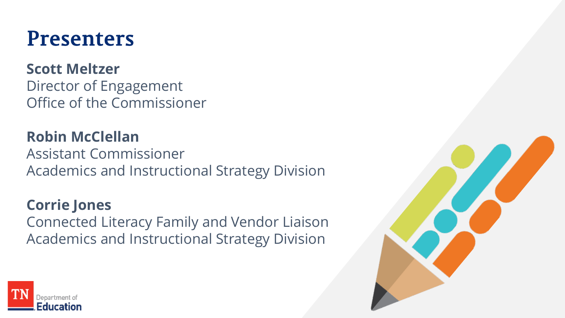# **Presenters**

## **Scott Meltzer**

Director of Engagement Office of the Commissioner

**Robin McClellan** Assistant Commissioner Academics and Instructional Strategy Division

## **Corrie Jones**

Connected Literacy Family and Vendor Liaison Academics and Instructional Strategy Division



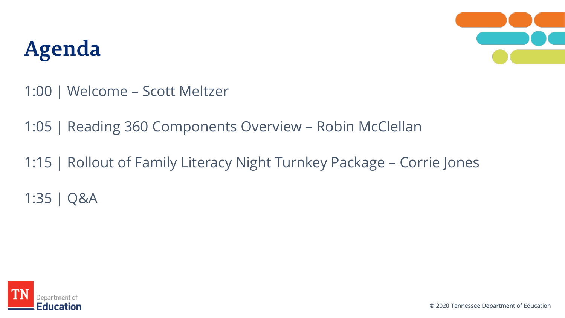# Agenda



1:00 | Welcome – Scott Meltzer

1:05 | Reading 360 Components Overview – Robin McClellan

1:15 | Rollout of Family Literacy Night Turnkey Package – Corrie Jones 1:35 | Q&A

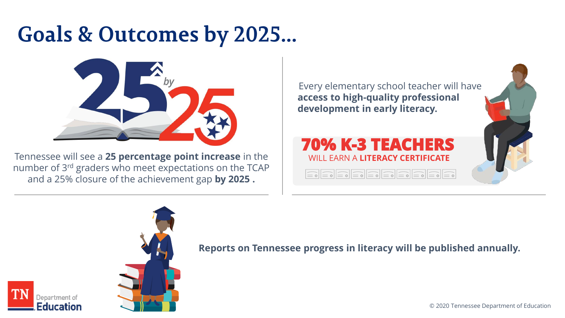# **Goals & Outcomes by 2025...**



Tennessee will see a **25 percentage point increase** in the number of 3rd graders who meet expectations on the TCAP and a 25% closure of the achievement gap **by 2025 .** 

Every elementary school teacher will have **access to high-quality professional development in early literacy.**

#### **70% K-3 TEACHERS**  WILL EARN A **LITERACY CERTIFICATE**

| $\boxed{\underline{\fbox{=0}}{\fbox{=0}}{\fbox{=0}}{\fbox{=0}}{\fbox{=0}}{\fbox{=0}}{\fbox{=0}}{\fbox{=0}}{\fbox{=0}}{\fbox{=0}}{\fbox{=0}}{\fbox{=0}}{\fbox{=0}}{\fbox{=0}}{\fbox{=0}}$ |  |  |  |
|------------------------------------------------------------------------------------------------------------------------------------------------------------------------------------------|--|--|--|
|------------------------------------------------------------------------------------------------------------------------------------------------------------------------------------------|--|--|--|





epartment of Education **Reports on Tennessee progress in literacy will be published annually.**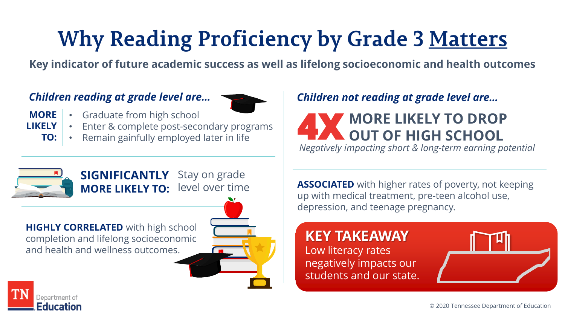# **Why Reading Proficiency by Grade 3 Matters**

**Key indicator of future academic success as well as lifelong socioeconomic and health outcomes**

#### *Children reading at grade level are…*



- Graduate from high school **MORE** 
	- Enter & complete post-secondary programs
	- Remain gainfully employed later in life **TO:**

## *Children not reading at grade level are…*

#### **MORE LIKELY TO DROP OUT OF HIGH SCHOOL 4X**

*Negatively impacting short & long-term earning potential*



**LIKELY** 

**SIGNIFICANTLY MORE LIKELY TO:** Stay on grade level over time

**HIGHLY CORRELATED** with high school completion and lifelong socioeconomic and health and wellness outcomes.



**ASSOCIATED** with higher rates of poverty, not keeping up with medical treatment, pre-teen alcohol use, depression, and teenage pregnancy.

#### **KEY TAKEAWAY** Low literacy rates negatively impacts our students and our state.



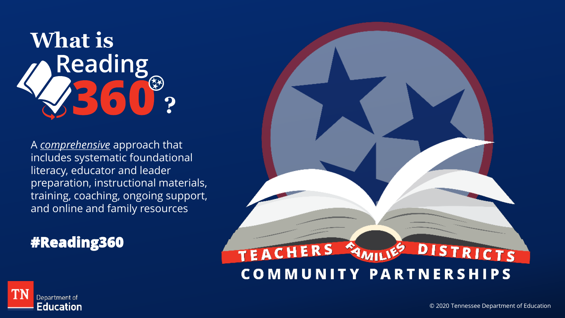

A *comprehensive* approach that includes systematic foundational literacy, educator and leader preparation, instructional materials, training, coaching, ongoing support, and online and family resources

## **#Reading360**



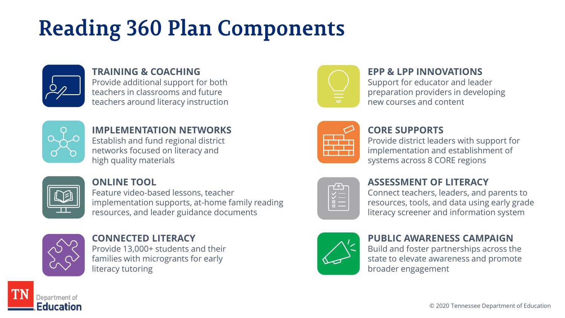# **Reading 360 Plan Components**



#### **TRAINING & COACHING**

Provide additional support for both teachers in classrooms and future teachers around literacy instruction



#### **IMPLEMENTATION NETWORKS**

Establish and fund regional district networks focused on literacy and high quality materials



#### **ONLINE TOOL**

Feature video-based lessons, teacher implementation supports, at-home family reading resources, and leader guidance documents



epartment of Education

#### **CONNECTED LITERACY** Provide 13,000+ students and their

families with microgrants for early literacy tutoring



#### **EPP & LPP INNOVATIONS**

Support for educator and leader preparation providers in developing new courses and content

| and the state of the |  |
|----------------------|--|
|                      |  |

#### **CORE SUPPORTS**

Provide district leaders with support for implementation and establishment of systems across 8 CORE regions

| × |  |
|---|--|
| п |  |
| ш |  |
|   |  |

#### **ASSESSMENT OF LITERACY**

Connect teachers, leaders, and parents to resources, tools, and data using early grade literacy screener and information system



#### **PUBLIC AWARENESS CAMPAIGN**

Build and foster partnerships across the state to elevate awareness and promote broader engagement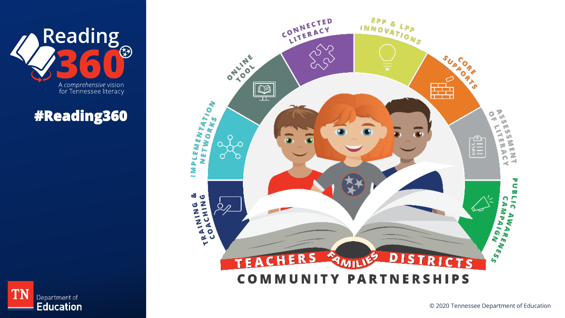

# **#Reading360**



**TN** Department of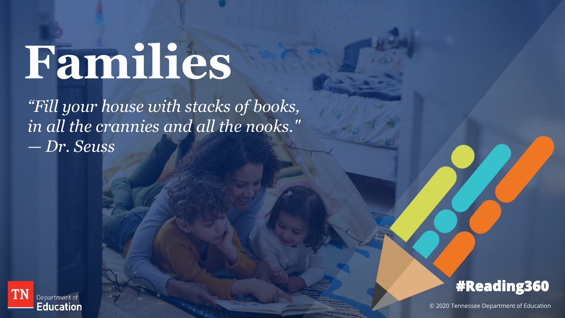# **Families**

*"Fill your house with stacks of books, in all the crannies and all the nooks." — Dr. Seuss*





© 2020 Tennessee Department of Education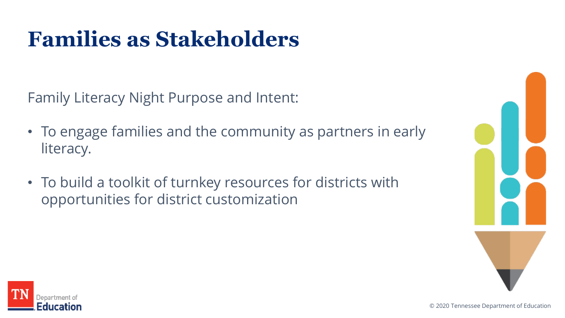# **Families as Stakeholders**

Family Literacy Night Purpose and Intent:

- To engage families and the community as partners in early literacy.
- To build a toolkit of turnkey resources for districts with opportunities for district customization



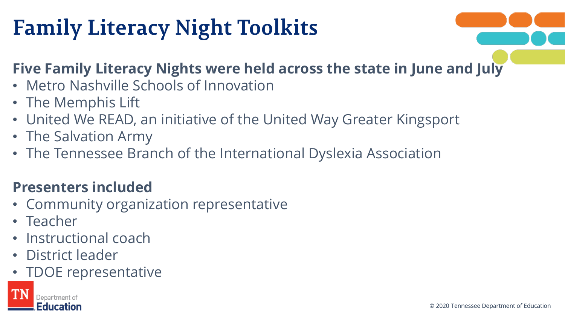# **Family Literacy Night Toolkits**

# **Five Family Literacy Nights were held across the state in June and July**

- Metro Nashville Schools of Innovation
- The Memphis Lift
- United We READ, an initiative of the United Way Greater Kingsport
- The Salvation Army
- The Tennessee Branch of the International Dyslexia Association

## **Presenters included**

- Community organization representative
- Teacher
- Instructional coach
- District leader
- TDOE representative